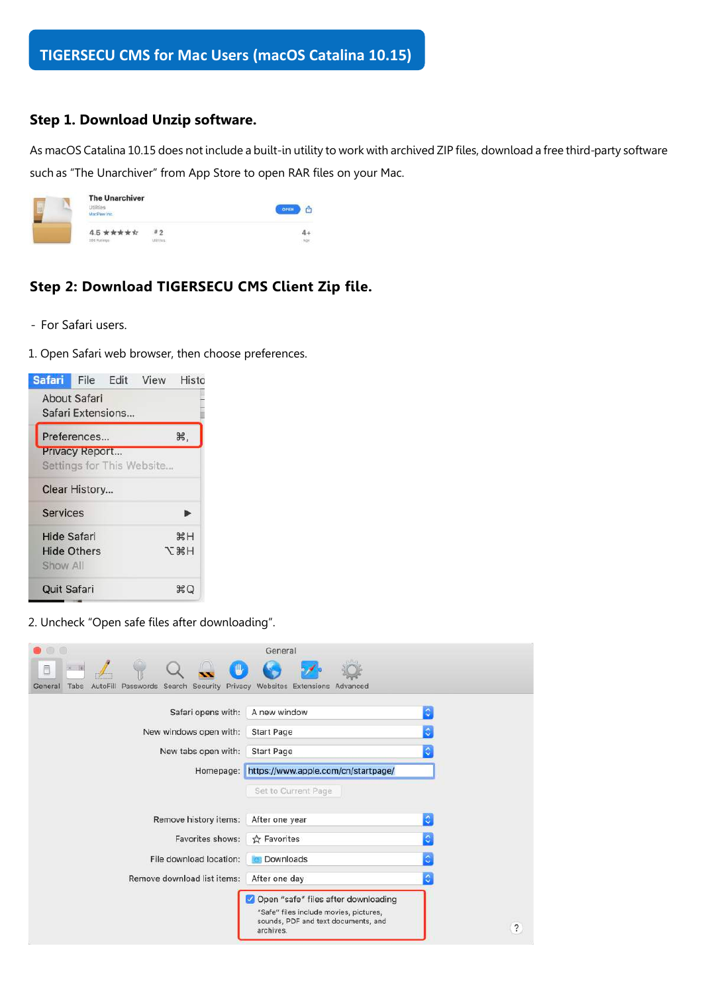## **Step 1. Download Unzip software.**

As macOS Catalina 10.15 does not include a built-in utility to work with archived ZIP files, download a free third-party software such as "The Unarchiver" from App Store to open RAR files on your Mac.

| Hilting<br>MacPaw Inc. | <b>The Unarchiver</b> |  |  |
|------------------------|-----------------------|--|--|
| 4.5 ★★★★☆              | フ                     |  |  |
| 386 Natings            |                       |  |  |

# **Step 2: Download TIGERSECU CMS Client Zip file.**

- For Safari users.
- 1. Open Safari web browser, then choose preferences.

| Safari File Edit View Histo |                    |                   |                           |                   |
|-----------------------------|--------------------|-------------------|---------------------------|-------------------|
| About Safari                |                    | Safari Extensions |                           |                   |
|                             | Preferences        |                   |                           | Ж,                |
|                             | Privacy Report     |                   |                           |                   |
|                             |                    |                   | Settings for This Website |                   |
| Clear History               |                    |                   |                           |                   |
| <b>Services</b>             |                    |                   |                           |                   |
| <b>Hide Safari</b>          |                    |                   |                           | жH                |
| Show All                    | <b>Hide Others</b> |                   |                           | H <sub>3</sub> K7 |
| <b>Quit Safari</b>          |                    |                   |                           | ЖQ                |

2. Uncheck "Open safe files after downloading".

| $\bigcirc$                                                                        | General                                                                                                                           |                    |
|-----------------------------------------------------------------------------------|-----------------------------------------------------------------------------------------------------------------------------------|--------------------|
| O                                                                                 |                                                                                                                                   |                    |
| AutoFill Passwords Search Security Privacy Websites Extensions<br>General<br>Tabs | Advanced                                                                                                                          |                    |
| Safari opens with:                                                                | A new window                                                                                                                      | ¢                  |
| New windows open with:                                                            | <b>Start Page</b>                                                                                                                 | ٥                  |
| New tabs open with:                                                               | <b>Start Page</b>                                                                                                                 | ٥                  |
| Homepage:                                                                         | https://www.apple.com/cn/startpage/                                                                                               |                    |
|                                                                                   | Set to Current Page                                                                                                               |                    |
| Remove history items:                                                             | After one year                                                                                                                    | $\Diamond$         |
| Favorites shows:                                                                  | ☆ Favorites                                                                                                                       | Ŏ                  |
| File download location:                                                           | Downloads                                                                                                                         | ٥                  |
| Remove download list items:                                                       | After one day                                                                                                                     | ٥                  |
|                                                                                   | Open "safe" files after downloading<br>"Safe" files include movies, pictures,<br>sounds, PDF and text documents, and<br>archives. | $\overline{\cdot}$ |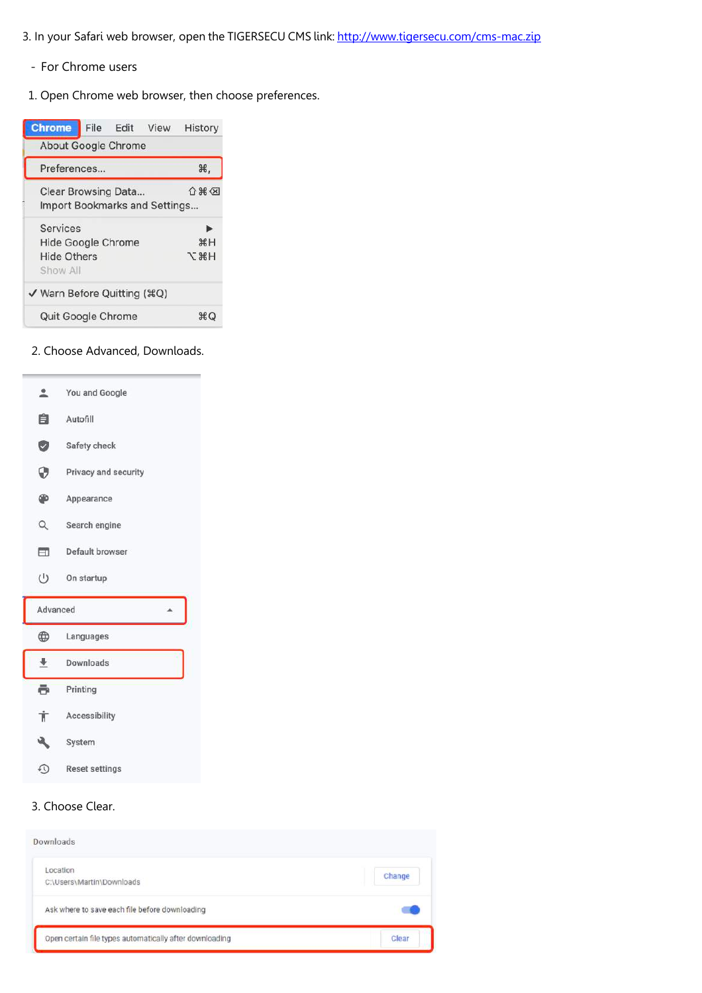- 3. In your Safari web browser, open the TIGERSECU CMS link: http://www.tigersecu.com/cms-mac.zip
	- For Chrome users
	- 1. Open Chrome web browser, then choose preferences.

|   | <b>Chrome</b>                  | File Edit View | History     |
|---|--------------------------------|----------------|-------------|
|   | About Google Chrome            |                |             |
|   | Preferences                    |                | ₩,          |
|   | Clear Browsing Data            |                | 介出公         |
| ٢ | Import Bookmarks and Settings  |                |             |
|   | <b>Services</b>                |                |             |
|   | Hide Google Chrome             |                | $H^*$       |
|   | <b>Hide Others</b><br>Show All |                | <b>N %T</b> |
|   | ✔ Warn Before Quitting (#Q)    |                |             |
|   | Quit Google Chrome             |                | ЖC.         |

#### 2. Choose Advanced, Downloads.





 $\overline{\phantom{a}}$ 

## 3. Choose Clear.

| Downloads                                               |        |
|---------------------------------------------------------|--------|
| Location<br>C:\Users\Martin\Downloads                   | Change |
| Ask where to save each file before downloading          |        |
| Open certain file types automatically after downloading | Clear  |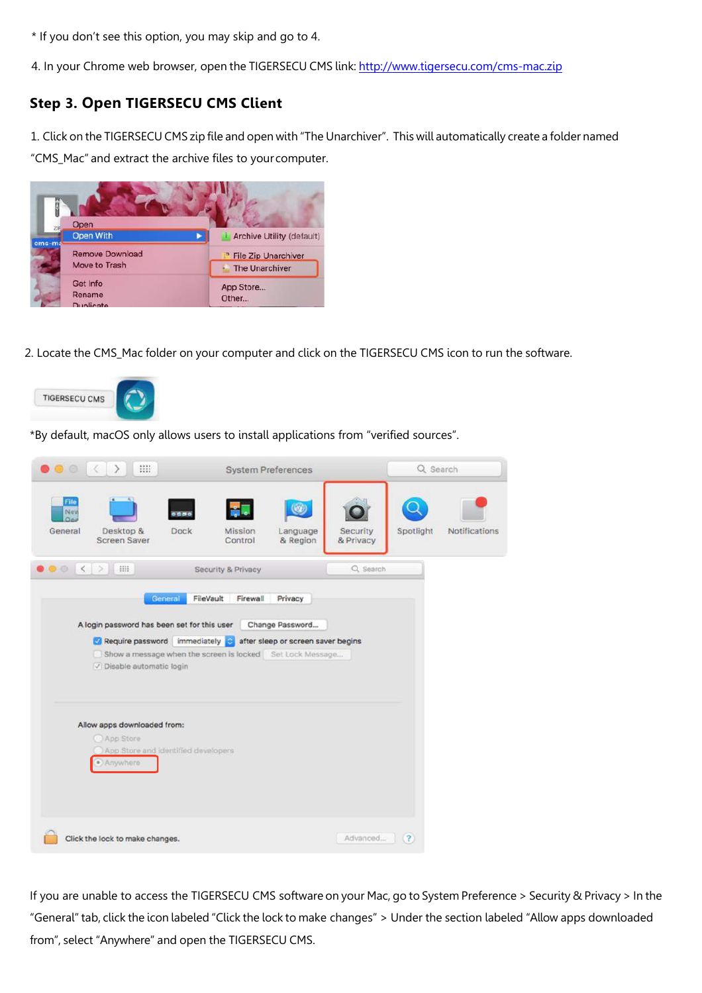\* If you don't see this option, you may skip and go to 4.

4. In your Chrome web browser, open the TIGERSECU CMS link: http://www.tigersecu.com/cms-mac.zip

# **Step 3. Open TIGERSECU CMS Client**

1. Click on the TIGERSECU CMS zip file and open with "The Unarchiver". This will automatically create a folder named "CMS\_Mac" and extract the archive files to your computer.



2. Locate the CMS\_Mac folder on your computer and click on the TIGERSECU CMS icon to run the software.



\*By default, macOS only allows users to install applications from "verified sources".

| <b>HH</b><br>$\bullet$ $\circ$<br>$\ll$<br>$\rightarrow$                                                                                                                                                             | <b>System Preferences</b>                                                                                                                              |                                    | Q Search             |
|----------------------------------------------------------------------------------------------------------------------------------------------------------------------------------------------------------------------|--------------------------------------------------------------------------------------------------------------------------------------------------------|------------------------------------|----------------------|
| File<br>New<br>1000<br>Oni<br>Desktop &<br>Dock<br>General<br>Screen Saver                                                                                                                                           | O<br>Mission<br>Language<br>Control<br>& Region                                                                                                        | Spotlight<br>Security<br>& Privacy | <b>Notifications</b> |
| 排<br>$\bullet$<br>$\langle$                                                                                                                                                                                          | Security & Privacy                                                                                                                                     | Q. Search                          |                      |
| General<br>A login password has been set for this user<br>Require password immediately<br>V Disable automatic login<br>Allow apps downloaded from:<br>App Store<br>App Store and identified developers<br>· Anywhere | FileVault<br>Firewall<br>Privacy<br>Change Password<br>after sleep or screen saver begins<br>Show a message when the screen is locked Set Lock Message |                                    |                      |
| Click the lock to make changes.                                                                                                                                                                                      |                                                                                                                                                        | Advanced<br>(2)                    |                      |

If you are unable to access the TIGERSECU CMS software on your Mac, go to System Preference > Security & Privacy > In the "General" tab, click the icon labeled "Click the lock to make changes" > Under the section labeled "Allow apps downloaded from", select "Anywhere" and open the TIGERSECU CMS.